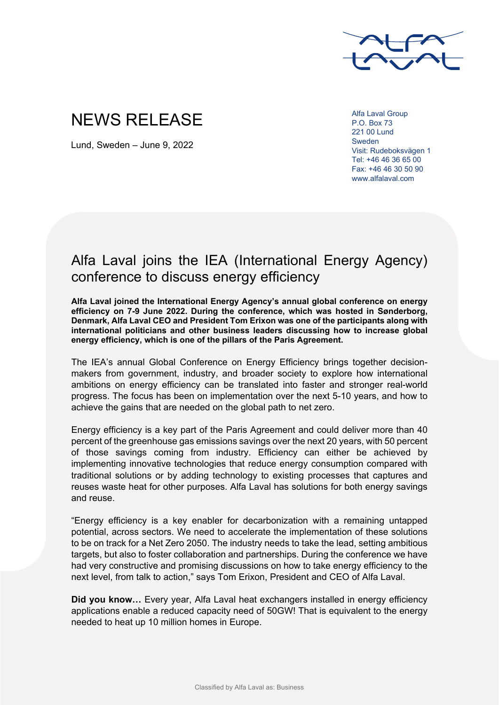

## NEWS RELEASE

Lund, Sweden – June 9, 2022

Alfa Laval Group P.O. Box 73 221 00 Lund Sweden Visit: Rudeboksvägen 1 Tel: +46 46 36 65 00 Fax: +46 46 30 50 90 www.alfalaval.com

## Alfa Laval joins the IEA (International Energy Agency) conference to discuss energy efficiency

**Alfa Laval joined the International Energy Agency's annual global conference on energy efficiency on 7-9 June 2022. During the conference, which was hosted in Sønderborg, Denmark, Alfa Laval CEO and President Tom Erixon was one of the participants along with international politicians and other business leaders discussing how to increase global energy efficiency, which is one of the pillars of the Paris Agreement.** 

The IEA's annual Global Conference on Energy Efficiency brings together decisionmakers from government, industry, and broader society to explore how international ambitions on energy efficiency can be translated into faster and stronger real-world progress. The focus has been on implementation over the next 5-10 years, and how to achieve the gains that are needed on the global path to net zero.

Energy efficiency is a key part of the Paris Agreement and could deliver more than 40 percent of the greenhouse gas emissions savings over the next 20 years, with 50 percent of those savings coming from industry. Efficiency can either be achieved by implementing innovative technologies that reduce energy consumption compared with traditional solutions or by adding technology to existing processes that captures and reuses waste heat for other purposes. Alfa Laval has solutions for both energy savings and reuse.

"Energy efficiency is a key enabler for decarbonization with a remaining untapped potential, across sectors. We need to accelerate the implementation of these solutions to be on track for a Net Zero 2050. The industry needs to take the lead, setting ambitious targets, but also to foster collaboration and partnerships. During the conference we have had very constructive and promising discussions on how to take energy efficiency to the next level, from talk to action," says Tom Erixon, President and CEO of Alfa Laval.

**Did you know…** Every year, Alfa Laval heat exchangers installed in energy efficiency applications enable a reduced capacity need of 50GW! That is equivalent to the energy needed to heat up 10 million homes in Europe.